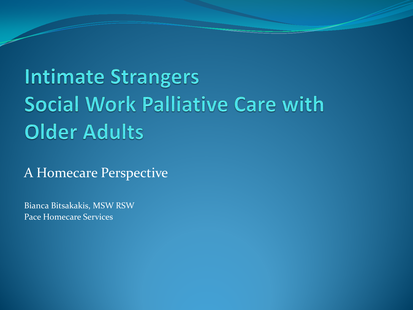# **Intimate Strangers Social Work Palliative Care with Older Adults**

A Homecare Perspective

Bianca Bitsakakis, MSW RSW Pace Homecare Services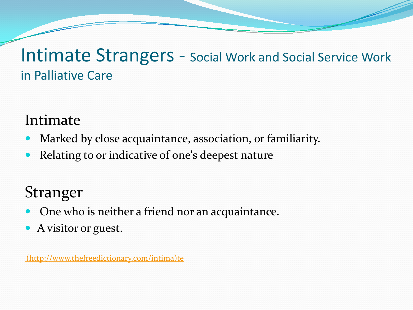#### Intimate Strangers - Social Work and Social Service Work in Palliative Care

#### Intimate

- Marked by close acquaintance, association, or familiarity.
- Relating to or indicative of one's deepest nature

### Stranger

- One who is neither a friend nor an acquaintance.
- A visitor or guest.

[\(](http://www.thefreedictionary.com/intimate)[http://www.thefreedictionary.com/intima\)te](http://www.thefreedictionary.com/intima)te)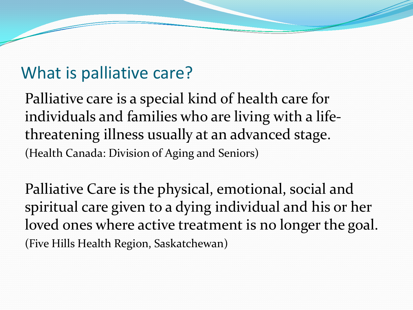#### What is palliative care?

Palliative care is a special kind of health care for individuals and families who are living with a lifethreatening illness usually at an advanced stage. (Health Canada: Division of Aging and Seniors)

Palliative Care is the physical, emotional, social and spiritual care given to a dying individual and his or her loved ones where active treatment is no longer the goal. (Five Hills Health Region, Saskatchewan)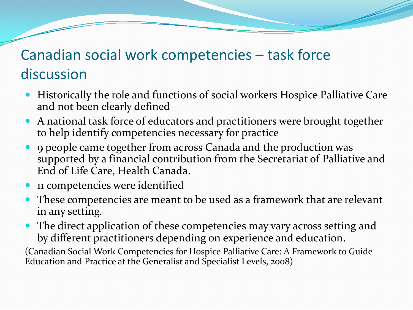#### Canadian social work competencies – task force discussion

- Historically the role and functions of social workers Hospice Palliative Care and not been clearly defined
- A national task force of educators and practitioners were brought together to help identify competencies necessary for practice
- 9 people came together from across Canada and the production was supported by a financial contribution from the Secretariat of Palliative and End of Life Care, Health Canada.
- 11 competencies were identified
- These competencies are meant to be used as a framework that are relevant in any setting.
- The direct application of these competencies may vary across setting and by different practitioners depending on experience and education.

(Canadian Social Work Competencies for Hospice Palliative Care: A Framework to Guide Education and Practice at the Generalist and Specialist Levels, 2008)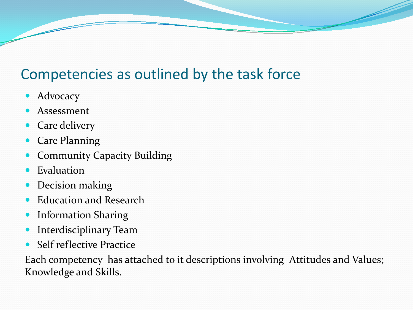#### Competencies as outlined by the task force

- Advocacy
- Assessment
- Care delivery
- Care Planning
- Community Capacity Building
- Evaluation
- Decision making
- Education and Research
- Information Sharing
- **•** Interdisciplinary Team
- Self reflective Practice

Each competency has attached to it descriptions involving Attitudes and Values; Knowledge and Skills.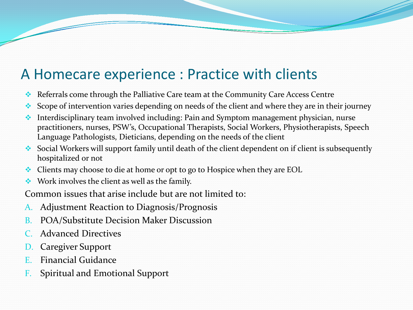#### A Homecare experience : Practice with clients

- Referrals come through the Palliative Care team at the Community Care Access Centre
- Scope of intervention varies depending on needs of the client and where they are in their journey
- Interdisciplinary team involved including: Pain and Symptom management physician, nurse practitioners, nurses, PSW's, Occupational Therapists, Social Workers, Physiotherapists, Speech Language Pathologists, Dieticians, depending on the needs of the client
- $\bullet$  Social Workers will support family until death of the client dependent on if client is subsequently hospitalized or not
- $\triangle$  Clients may choose to die at home or opt to go to Hospice when they are EOL
- $\bullet\bullet\text{ Work involves the client as well as the family.}$

Common issues that arise include but are not limited to:

- A. Adjustment Reaction to Diagnosis/Prognosis
- B. POA/Substitute Decision Maker Discussion
- Advanced Directives
- D. Caregiver Support
- E. Financial Guidance
- F. Spiritual and Emotional Support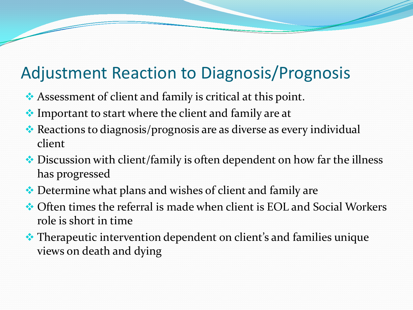# Adjustment Reaction to Diagnosis/Prognosis

- Assessment of client and family is critical at this point.
- ◆ Important to start where the client and family are at
- \* Reactions to diagnosis/prognosis are as diverse as every individual client
- ◆ Discussion with client/family is often dependent on how far the illness has progressed
- ◆ Determine what plans and wishes of client and family are
- Often times the referral is made when client is EOL and Social Workers role is short in time
- $\triangle$  Therapeutic intervention dependent on client's and families unique views on death and dying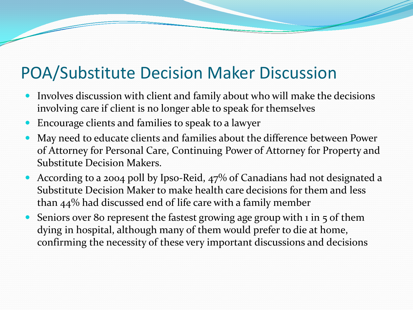#### POA/Substitute Decision Maker Discussion

- Involves discussion with client and family about who will make the decisions involving care if client is no longer able to speak for themselves
- Encourage clients and families to speak to a lawyer
- May need to educate clients and families about the difference between Power of Attorney for Personal Care, Continuing Power of Attorney for Property and Substitute Decision Makers.
- According to a 2004 poll by Ipso-Reid, 47% of Canadians had not designated a Substitute Decision Maker to make health care decisions for them and less than 44% had discussed end of life care with a family member
- Seniors over 80 represent the fastest growing age group with 1 in 5 of them dying in hospital, although many of them would prefer to die at home, confirming the necessity of these very important discussions and decisions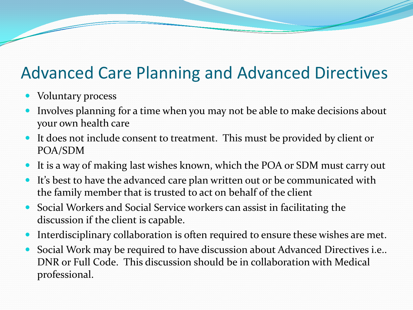## Advanced Care Planning and Advanced Directives

- Voluntary process
- Involves planning for a time when you may not be able to make decisions about your own health care
- It does not include consent to treatment. This must be provided by client or POA/SDM
- It is a way of making last wishes known, which the POA or SDM must carry out
- It's best to have the advanced care plan written out or be communicated with the family member that is trusted to act on behalf of the client
- Social Workers and Social Service workers can assist in facilitating the discussion if the client is capable.
- Interdisciplinary collaboration is often required to ensure these wishes are met.
- Social Work may be required to have discussion about Advanced Directives i.e.. DNR or Full Code. This discussion should be in collaboration with Medical professional.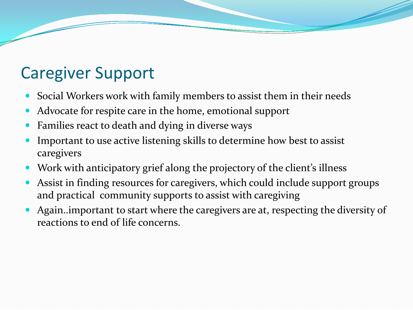# Caregiver Support

- Social Workers work with family members to assist them in their needs
- Advocate for respite care in the home, emotional support
- Families react to death and dying in diverse ways
- Important to use active listening skills to determine how best to assist caregivers
- Work with anticipatory grief along the projectory of the client's illness
- Assist in finding resources for caregivers, which could include support groups and practical community supports to assist with caregiving
- Again..important to start where the caregivers are at, respecting the diversity of reactions to end of life concerns.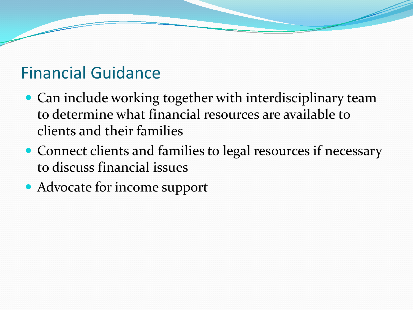#### Financial Guidance

- Can include working together with interdisciplinary team to determine what financial resources are available to clients and their families
- Connect clients and families to legal resources if necessary to discuss financial issues

• Advocate for income support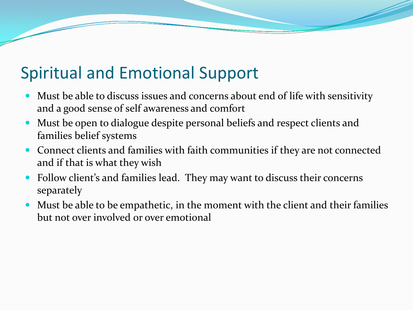### Spiritual and Emotional Support

- Must be able to discuss issues and concerns about end of life with sensitivity and a good sense of self awareness and comfort
- Must be open to dialogue despite personal beliefs and respect clients and families belief systems
- Connect clients and families with faith communities if they are not connected and if that is what they wish
- Follow client's and families lead. They may want to discuss their concerns separately
- Must be able to be empathetic, in the moment with the client and their families but not over involved or over emotional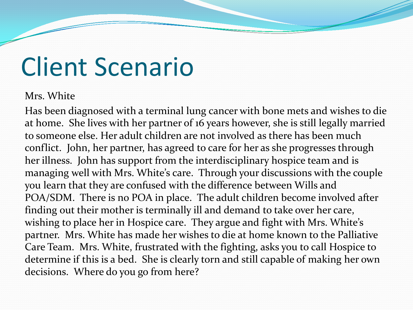# Client Scenario

#### Mrs. White

Has been diagnosed with a terminal lung cancer with bone mets and wishes to die at home. She lives with her partner of 16 years however, she is still legally married to someone else. Her adult children are not involved as there has been much conflict. John, her partner, has agreed to care for her as she progresses through her illness. John has support from the interdisciplinary hospice team and is managing well with Mrs. White's care. Through your discussions with the couple you learn that they are confused with the difference between Wills and POA/SDM. There is no POA in place. The adult children become involved after finding out their mother is terminally ill and demand to take over her care, wishing to place her in Hospice care. They argue and fight with Mrs. White's partner. Mrs. White has made her wishes to die at home known to the Palliative Care Team. Mrs. White, frustrated with the fighting, asks you to call Hospice to determine if this is a bed. She is clearly torn and still capable of making her own decisions. Where do you go from here?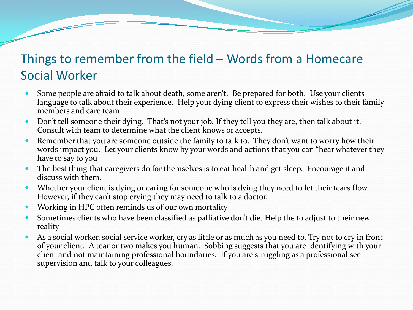#### Things to remember from the field – Words from a Homecare Social Worker

- Some people are afraid to talk about death, some aren't. Be prepared for both. Use your clients language to talk about their experience. Help your dying client to express their wishes to their family members and care team
- Don't tell someone their dying. That's not your job. If they tell you they are, then talk about it. Consult with team to determine what the client knows or accepts.
- Remember that you are someone outside the family to talk to. They don't want to worry how their words impact you. Let your clients know by your words and actions that you can "hear whatever they have to say to you
- The best thing that caregivers do for themselves is to eat health and get sleep. Encourage it and discuss with them.
- Whether your client is dying or caring for someone who is dying they need to let their tears flow. However, if they can't stop crying they may need to talk to a doctor.
- Working in HPC often reminds us of our own mortality
- Sometimes clients who have been classified as palliative don't die. Help the to adjust to their new reality
- As a social worker, social service worker, cry as little or as much as you need to. Try not to cry in front of your client. A tear or two makes you human. Sobbing suggests that you are identifying with your client and not maintaining professional boundaries. If you are struggling as a professional see supervision and talk to your colleagues.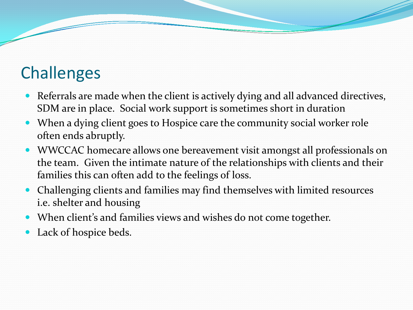# **Challenges**

- Referrals are made when the client is actively dying and all advanced directives, SDM are in place. Social work support is sometimes short in duration
- When a dying client goes to Hospice care the community social worker role often ends abruptly.
- WWCCAC homecare allows one bereavement visit amongst all professionals on the team. Given the intimate nature of the relationships with clients and their families this can often add to the feelings of loss.
- Challenging clients and families may find themselves with limited resources i.e. shelter and housing
- When client's and families views and wishes do not come together.
- Lack of hospice beds.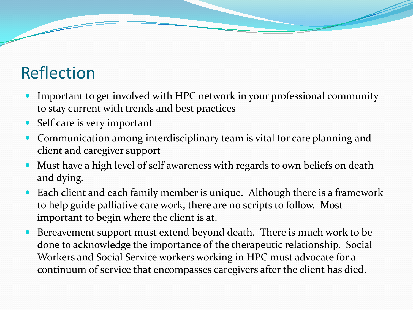# Reflection

- Important to get involved with HPC network in your professional community to stay current with trends and best practices
- Self care is very important
- Communication among interdisciplinary team is vital for care planning and client and caregiver support
- Must have a high level of self awareness with regards to own beliefs on death and dying.
- Each client and each family member is unique. Although there is a framework to help guide palliative care work, there are no scripts to follow. Most important to begin where the client is at.
- Bereavement support must extend beyond death. There is much work to be done to acknowledge the importance of the therapeutic relationship. Social Workers and Social Service workers working in HPC must advocate for a continuum of service that encompasses caregivers after the client has died.